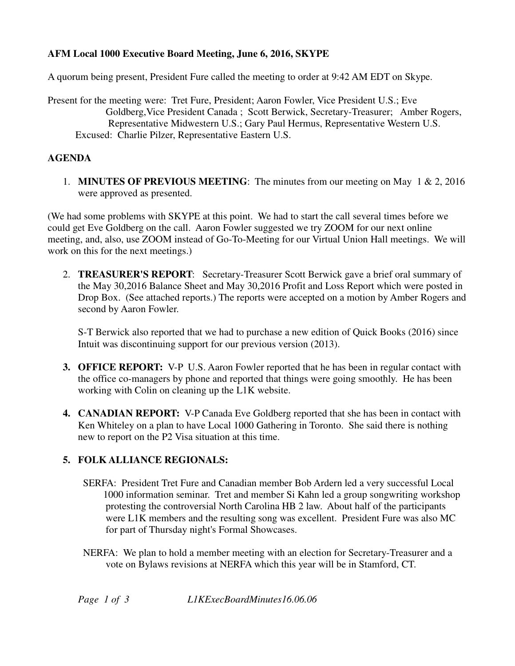## **AFM Local 1000 Executive Board Meeting, June 6, 2016, SKYPE**

A quorum being present, President Fure called the meeting to order at 9:42 AM EDT on Skype.

Present for the meeting were: Tret Fure, President; Aaron Fowler, Vice President U.S.; Eve Goldberg,Vice President Canada ; Scott Berwick, Secretary-Treasurer; Amber Rogers, Representative Midwestern U.S.; Gary Paul Hermus, Representative Western U.S. Excused: Charlie Pilzer, Representative Eastern U.S.

### **AGENDA**

1. **MINUTES OF PREVIOUS MEETING**: The minutes from our meeting on May 1 & 2, 2016 were approved as presented.

(We had some problems with SKYPE at this point. We had to start the call several times before we could get Eve Goldberg on the call. Aaron Fowler suggested we try ZOOM for our next online meeting, and, also, use ZOOM instead of Go-To-Meeting for our Virtual Union Hall meetings. We will work on this for the next meetings.)

2. **TREASURER'S REPORT**: Secretary-Treasurer Scott Berwick gave a brief oral summary of the May 30,2016 Balance Sheet and May 30,2016 Profit and Loss Report which were posted in Drop Box. (See attached reports.) The reports were accepted on a motion by Amber Rogers and second by Aaron Fowler.

 S-T Berwick also reported that we had to purchase a new edition of Quick Books (2016) since Intuit was discontinuing support for our previous version (2013).

- **3. OFFICE REPORT:** V-P U.S. Aaron Fowler reported that he has been in regular contact with the office co-managers by phone and reported that things were going smoothly. He has been working with Colin on cleaning up the L1K website.
- **4. CANADIAN REPORT:** V-P Canada Eve Goldberg reported that she has been in contact with Ken Whiteley on a plan to have Local 1000 Gathering in Toronto. She said there is nothing new to report on the P2 Visa situation at this time.

# **5. FOLK ALLIANCE REGIONALS:**

- SERFA: President Tret Fure and Canadian member Bob Ardern led a very successful Local 1000 information seminar. Tret and member Si Kahn led a group songwriting workshop protesting the controversial North Carolina HB 2 law. About half of the participants were L1K members and the resulting song was excellent. President Fure was also MC for part of Thursday night's Formal Showcases.
- NERFA: We plan to hold a member meeting with an election for Secretary-Treasurer and a vote on Bylaws revisions at NERFA which this year will be in Stamford, CT.

*Page 1 of 3 L1KExecBoardMinutes16.06.06*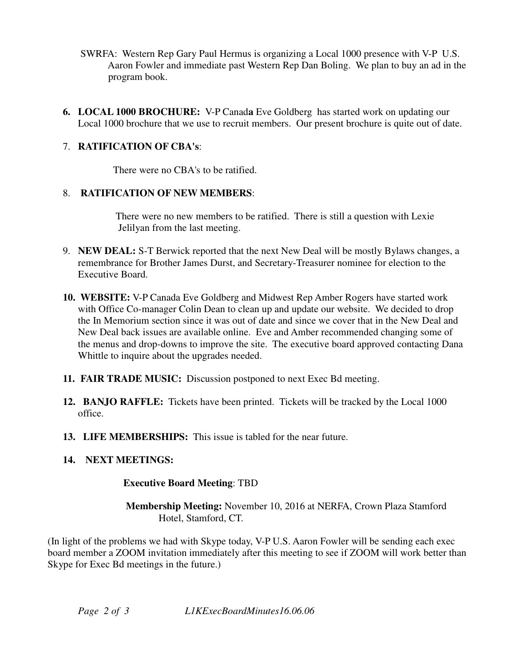- SWRFA: Western Rep Gary Paul Hermus is organizing a Local 1000 presence with V-P U.S. Aaron Fowler and immediate past Western Rep Dan Boling. We plan to buy an ad in the program book.
- **6. LOCAL 1000 BROCHURE:** V-P Canad**a** Eve Goldberg has started work on updating our Local 1000 brochure that we use to recruit members. Our present brochure is quite out of date.

## 7. **RATIFICATION OF CBA's**:

There were no CBA's to be ratified.

### 8. **RATIFICATION OF NEW MEMBERS**:

 There were no new members to be ratified. There is still a question with Lexie Jelilyan from the last meeting.

- 9. **NEW DEAL:** S-T Berwick reported that the next New Deal will be mostly Bylaws changes, a remembrance for Brother James Durst, and Secretary-Treasurer nominee for election to the Executive Board.
- **10. WEBSITE:** V-P Canada Eve Goldberg and Midwest Rep Amber Rogers have started work with Office Co-manager Colin Dean to clean up and update our website. We decided to drop the In Memorium section since it was out of date and since we cover that in the New Deal and New Deal back issues are available online. Eve and Amber recommended changing some of the menus and drop-downs to improve the site. The executive board approved contacting Dana Whittle to inquire about the upgrades needed.
- **11. FAIR TRADE MUSIC:** Discussion postponed to next Exec Bd meeting.
- **12. BANJO RAFFLE:** Tickets have been printed. Tickets will be tracked by the Local 1000 office.
- **13. LIFE MEMBERSHIPS:** This issue is tabled for the near future.

# **14. NEXT MEETINGS:**

### **Executive Board Meeting**: TBD

 **Membership Meeting:** November 10, 2016 at NERFA, Crown Plaza Stamford Hotel, Stamford, CT.

(In light of the problems we had with Skype today, V-P U.S. Aaron Fowler will be sending each exec board member a ZOOM invitation immediately after this meeting to see if ZOOM will work better than Skype for Exec Bd meetings in the future.)

*Page 2 of 3 L1KExecBoardMinutes16.06.06*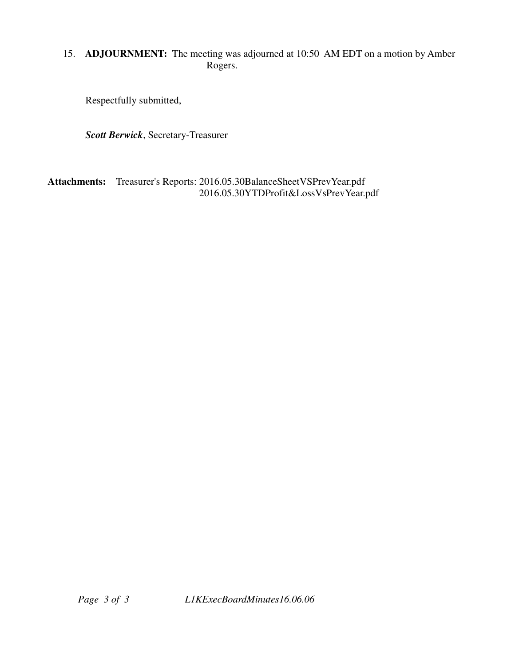# 15. **ADJOURNMENT:** The meeting was adjourned at 10:50 AM EDT on a motion by Amber Rogers.

Respectfully submitted,

*Scott Berwick*, Secretary-Treasurer

**Attachments:** Treasurer's Reports: 2016.05.30BalanceSheetVSPrevYear.pdf 2016.05.30YTDProfit&LossVsPrevYear.pdf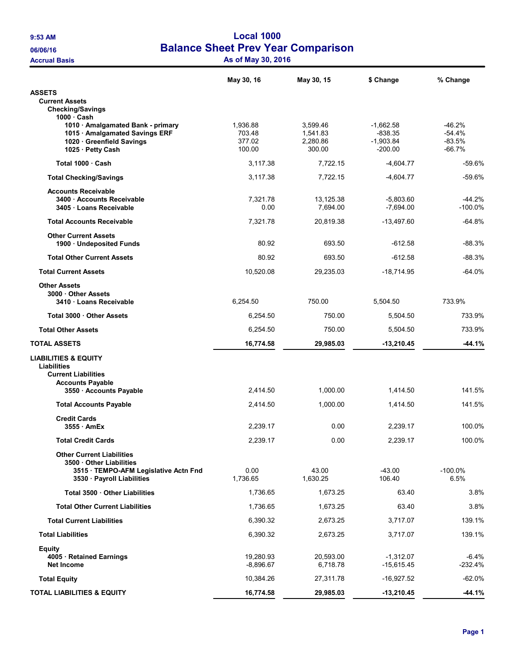## 9:53 AM Local 1000 06/06/16 Balance Sheet Prev Year Comparison Accrual Basis **Accrual Basis** As of May 30, 2016

|                                                                                                                                   | May 30, 16                             | May 30, 15                                 | \$ Change                                            | % Change                                     |
|-----------------------------------------------------------------------------------------------------------------------------------|----------------------------------------|--------------------------------------------|------------------------------------------------------|----------------------------------------------|
| <b>ASSETS</b>                                                                                                                     |                                        |                                            |                                                      |                                              |
| <b>Current Assets</b><br><b>Checking/Savings</b><br>$1000 \cdot$ Cash                                                             |                                        |                                            |                                                      |                                              |
| 1010 · Amalgamated Bank - primary<br>1015 · Amalgamated Savings ERF<br>1020 Greenfield Savings<br>1025 · Petty Cash               | 1,936.88<br>703.48<br>377.02<br>100.00 | 3,599.46<br>1.541.83<br>2,280.86<br>300.00 | $-1.662.58$<br>$-838.35$<br>$-1,903.84$<br>$-200.00$ | $-46.2%$<br>$-54.4%$<br>$-83.5%$<br>$-66.7%$ |
| Total 1000 Cash                                                                                                                   | 3,117.38                               | 7,722.15                                   | $-4,604.77$                                          | $-59.6%$                                     |
| <b>Total Checking/Savings</b>                                                                                                     | 3,117.38                               | 7,722.15                                   | $-4,604.77$                                          | -59.6%                                       |
| <b>Accounts Receivable</b><br>3400 Accounts Receivable<br>3405 · Loans Receivable                                                 | 7,321.78<br>0.00                       | 13,125.38<br>7,694.00                      | $-5,803.60$<br>$-7,694.00$                           | $-44.2%$<br>$-100.0%$                        |
| <b>Total Accounts Receivable</b>                                                                                                  | 7,321.78                               | 20,819.38                                  | $-13,497.60$                                         | $-64.8%$                                     |
| <b>Other Current Assets</b><br>1900 Undeposited Funds                                                                             | 80.92                                  | 693.50                                     | $-612.58$                                            | $-88.3%$                                     |
| <b>Total Other Current Assets</b>                                                                                                 | 80.92                                  | 693.50                                     | $-612.58$                                            | $-88.3%$                                     |
| <b>Total Current Assets</b>                                                                                                       | 10,520.08                              | 29,235.03                                  | $-18,714.95$                                         | $-64.0%$                                     |
| <b>Other Assets</b><br>3000 Other Assets<br>3410 Loans Receivable                                                                 | 6.254.50                               | 750.00                                     | 5,504.50                                             | 733.9%                                       |
| Total 3000 Other Assets                                                                                                           | 6,254.50                               | 750.00                                     | 5,504.50                                             | 733.9%                                       |
| <b>Total Other Assets</b>                                                                                                         | 6,254.50                               | 750.00                                     | 5,504.50                                             | 733.9%                                       |
| <b>TOTAL ASSETS</b>                                                                                                               | 16,774.58                              | 29,985.03                                  | $-13,210.45$                                         | $-44.1%$                                     |
| <b>LIABILITIES &amp; EQUITY</b><br><b>Liabilities</b><br><b>Current Liabilities</b><br><b>Accounts Payable</b>                    |                                        |                                            |                                                      |                                              |
| 3550 · Accounts Payable                                                                                                           | 2,414.50                               | 1,000.00                                   | 1,414.50                                             | 141.5%                                       |
| <b>Total Accounts Payable</b>                                                                                                     | 2,414.50                               | 1,000.00                                   | 1,414.50                                             | 141.5%                                       |
| <b>Credit Cards</b><br>3555 AmEx                                                                                                  | 2,239.17                               | 0.00                                       | 2,239.17                                             | 100.0%                                       |
| <b>Total Credit Cards</b>                                                                                                         | 2,239.17                               | 0.00                                       | 2,239.17                                             | 100.0%                                       |
| <b>Other Current Liabilities</b><br>3500 Other Liabilities<br>3515 · TEMPO-AFM Legislative Actn Fnd<br>3530 · Payroll Liabilities | 0.00<br>1,736.65                       | 43.00<br>1,630.25                          | $-43.00$<br>106.40                                   | $-100.0%$<br>6.5%                            |
| Total 3500 . Other Liabilities                                                                                                    | 1,736.65                               | 1,673.25                                   | 63.40                                                | 3.8%                                         |
| <b>Total Other Current Liabilities</b>                                                                                            | 1,736.65                               | 1,673.25                                   | 63.40                                                | 3.8%                                         |
| <b>Total Current Liabilities</b>                                                                                                  | 6,390.32                               | 2,673.25                                   | 3,717.07                                             | 139.1%                                       |
| <b>Total Liabilities</b>                                                                                                          | 6,390.32                               | 2,673.25                                   | 3,717.07                                             | 139.1%                                       |
| Equity<br>4005 · Retained Earnings<br>Net Income                                                                                  | 19,280.93<br>$-8,896.67$               | 20,593.00<br>6,718.78                      | $-1,312.07$<br>$-15,615.45$                          | -6.4%<br>$-232.4%$                           |
| <b>Total Equity</b>                                                                                                               |                                        |                                            |                                                      |                                              |
|                                                                                                                                   | 10,384.26                              | 27,311.78                                  | $-16,927.52$                                         | $-62.0%$                                     |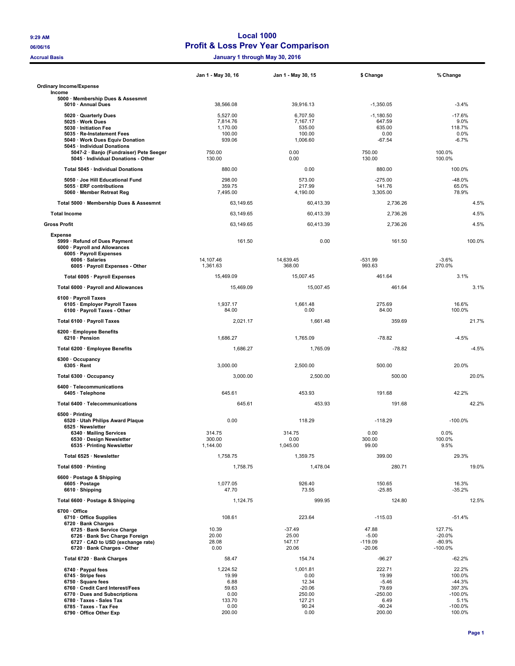#### 9:29 AM Local 1000 06/06/16 **Profit & Loss Prev Year Comparison**

Accrual Basis January 1 through May 30, 2016

|                                                                                                                                                                                                                                        | Jan 1 - May 30, 16                                                     | Jan 1 - May 30, 15                                                         | \$ Change                                                                      | % Change                                                                         |
|----------------------------------------------------------------------------------------------------------------------------------------------------------------------------------------------------------------------------------------|------------------------------------------------------------------------|----------------------------------------------------------------------------|--------------------------------------------------------------------------------|----------------------------------------------------------------------------------|
| <b>Ordinary Income/Expense</b><br>Income                                                                                                                                                                                               |                                                                        |                                                                            |                                                                                |                                                                                  |
| 5000 · Membership Dues & Assesmnt<br>5010 · Annual Dues                                                                                                                                                                                | 38,566.08                                                              | 39,916.13                                                                  | $-1,350.05$                                                                    | $-3.4%$                                                                          |
| 5020 · Quarterly Dues<br>5025 · Work Dues<br>5030 · Initiation Fee                                                                                                                                                                     | 5,527.00<br>7,814.76<br>1,170.00                                       | 6,707.50<br>7,167.17<br>535.00                                             | $-1,180.50$<br>647.59<br>635.00                                                | $-17.6%$<br>9.0%<br>118.7%                                                       |
| 5035 · Re-Instatement Fees<br>5040 · Work Dues Equiv Donation                                                                                                                                                                          | 100.00<br>939.06                                                       | 100.00<br>1,006.60                                                         | 0.00<br>$-67.54$                                                               | 0.0%<br>$-6.7%$                                                                  |
| 5045 · Individual Donations<br>5047-2 · Banjo (Fundraiser) Pete Seeger<br>5045 · Individual Donations - Other                                                                                                                          | 750.00<br>130.00                                                       | 0.00<br>0.00                                                               | 750.00<br>130.00                                                               | 100.0%<br>100.0%                                                                 |
| Total 5045 · Individual Donations                                                                                                                                                                                                      | 880.00                                                                 | 0.00                                                                       | 880.00                                                                         | 100.0%                                                                           |
| 5050 · Joe Hill Educational Fund<br>5055 · ERF contributions<br>5060 · Member Retreat Reg                                                                                                                                              | 298.00<br>359.75<br>7,495.00                                           | 573.00<br>217.99<br>4,190.00                                               | $-275.00$<br>141.76<br>3,305.00                                                | $-48.0%$<br>65.0%<br>78.9%                                                       |
| Total 5000 · Membership Dues & Assesmnt                                                                                                                                                                                                | 63,149.65                                                              | 60,413.39                                                                  | 2,736.26                                                                       | 4.5%                                                                             |
| <b>Total Income</b>                                                                                                                                                                                                                    | 63,149.65                                                              | 60,413.39                                                                  | 2,736.26                                                                       | 4.5%                                                                             |
| <b>Gross Profit</b>                                                                                                                                                                                                                    | 63,149.65                                                              | 60,413.39                                                                  | 2,736.26                                                                       | 4.5%                                                                             |
| <b>Expense</b><br>5999 · Refund of Dues Payment<br>6000 · Payroll and Allowances<br>6005 · Payroll Expenses                                                                                                                            | 161.50                                                                 | 0.00                                                                       | 161.50                                                                         | 100.0%                                                                           |
| 6006 · Salaries<br>6005 · Payroll Expenses - Other                                                                                                                                                                                     | 14.107.46<br>1.361.63                                                  | 14,639.45<br>368.00                                                        | $-531.99$<br>993.63                                                            | $-3.6%$<br>270.0%                                                                |
| Total 6005 · Payroll Expenses                                                                                                                                                                                                          | 15,469.09                                                              | 15,007.45                                                                  | 461.64                                                                         | 3.1%                                                                             |
| Total 6000 · Payroll and Allowances                                                                                                                                                                                                    | 15.469.09                                                              | 15.007.45                                                                  | 461.64                                                                         | 3.1%                                                                             |
| 6100 · Payroll Taxes<br>6105 · Employer Payroll Taxes<br>6100 · Payroll Taxes - Other                                                                                                                                                  | 1,937.17<br>84.00                                                      | 1.661.48<br>0.00                                                           | 275.69<br>84.00                                                                | 16.6%<br>100.0%                                                                  |
| Total 6100 · Payroll Taxes                                                                                                                                                                                                             | 2,021.17                                                               | 1,661.48                                                                   | 359.69                                                                         | 21.7%                                                                            |
| 6200 · Employee Benefits<br>6210 · Pension                                                                                                                                                                                             | 1,686.27                                                               | 1,765.09                                                                   | $-78.82$                                                                       | $-4.5%$                                                                          |
| Total 6200 · Employee Benefits                                                                                                                                                                                                         | 1,686.27                                                               | 1,765.09                                                                   | $-78.82$                                                                       | $-4.5%$                                                                          |
| 6300 · Occupancy<br>$6305 \cdot$ Rent                                                                                                                                                                                                  | 3,000.00                                                               | 2,500.00                                                                   | 500.00                                                                         | 20.0%                                                                            |
| Total 6300 · Occupancy                                                                                                                                                                                                                 | 3,000.00                                                               | 2,500.00                                                                   | 500.00                                                                         | 20.0%                                                                            |
| 6400 · Telecommunications<br>6405 · Telephone                                                                                                                                                                                          | 645.61                                                                 | 453.93                                                                     | 191.68                                                                         | 42.2%                                                                            |
| Total 6400 · Telecommunications                                                                                                                                                                                                        | 645.61                                                                 | 453.93                                                                     | 191.68                                                                         | 42.2%                                                                            |
| 6500 · Printing<br>6520 · Utah Philips Award Plaque<br>6525 · Newsletter                                                                                                                                                               | 0.00                                                                   | 118.29                                                                     | $-118.29$                                                                      | $-100.0%$                                                                        |
| 6340 · Mailing Services<br>6530 · Design Newsletter<br>6535 · Printing Newsletter                                                                                                                                                      | 314.75<br>300.00<br>1,144.00                                           | 314.75<br>0.00<br>1,045.00                                                 | 0.00<br>300.00<br>99.00                                                        | 0.0%<br>100.0%<br>9.5%                                                           |
| Total 6525 · Newsletter                                                                                                                                                                                                                | 1,758.75                                                               | 1,359.75                                                                   | 399.00                                                                         | 29.3%                                                                            |
| Total 6500 · Printing                                                                                                                                                                                                                  | 1,758.75                                                               | 1,478.04                                                                   | 280.71                                                                         | 19.0%                                                                            |
| 6600 · Postage & Shipping<br>6605 · Postage<br>6610 · Shipping                                                                                                                                                                         | 1,077.05<br>47.70                                                      | 926.40<br>73.55                                                            | 150.65<br>$-25.85$                                                             | 16.3%<br>$-35.2%$                                                                |
| Total 6600 · Postage & Shipping                                                                                                                                                                                                        | 1.124.75                                                               | 999.95                                                                     | 124.80                                                                         | 12.5%                                                                            |
| 6700 Office<br>6710 Office Supplies<br>6720 · Bank Charges                                                                                                                                                                             | 108.61                                                                 | 223.64                                                                     | $-115.03$                                                                      | $-51.4%$                                                                         |
| 6725 · Bank Service Charge<br>6726 · Bank Svc Charge Foreign<br>6727 · CAD to USD (exchange rate)<br>6720 · Bank Charges - Other                                                                                                       | 10.39<br>20.00<br>28.08<br>0.00                                        | $-37.49$<br>25.00<br>147.17<br>20.06                                       | 47.88<br>$-5.00$<br>$-119.09$<br>$-20.06$                                      | 127.7%<br>$-20.0%$<br>$-80.9%$<br>$-100.0%$                                      |
| Total 6720 · Bank Charges                                                                                                                                                                                                              | 58.47                                                                  | 154.74                                                                     | $-96.27$                                                                       | $-62.2%$                                                                         |
| $6740 \cdot$ Paypal fees<br>$6745 \cdot$ Stripe fees<br>$6750 \cdot$ Square fees<br>6760 · Credit Card Interest/Fees<br>6770 · Dues and Subscriptions<br>6780 · Taxes - Sales Tax<br>6785 · Taxes - Tax Fee<br>6790 · Office Other Exp | 1,224.52<br>19.99<br>6.88<br>59.63<br>0.00<br>133.70<br>0.00<br>200.00 | 1,001.81<br>0.00<br>12.34<br>$-20.06$<br>250.00<br>127.21<br>90.24<br>0.00 | 222.71<br>19.99<br>$-5.46$<br>79.69<br>$-250.00$<br>6.49<br>$-90.24$<br>200.00 | 22.2%<br>100.0%<br>$-44.3%$<br>397.3%<br>$-100.0\%$<br>5.1%<br>-100.0%<br>100.0% |